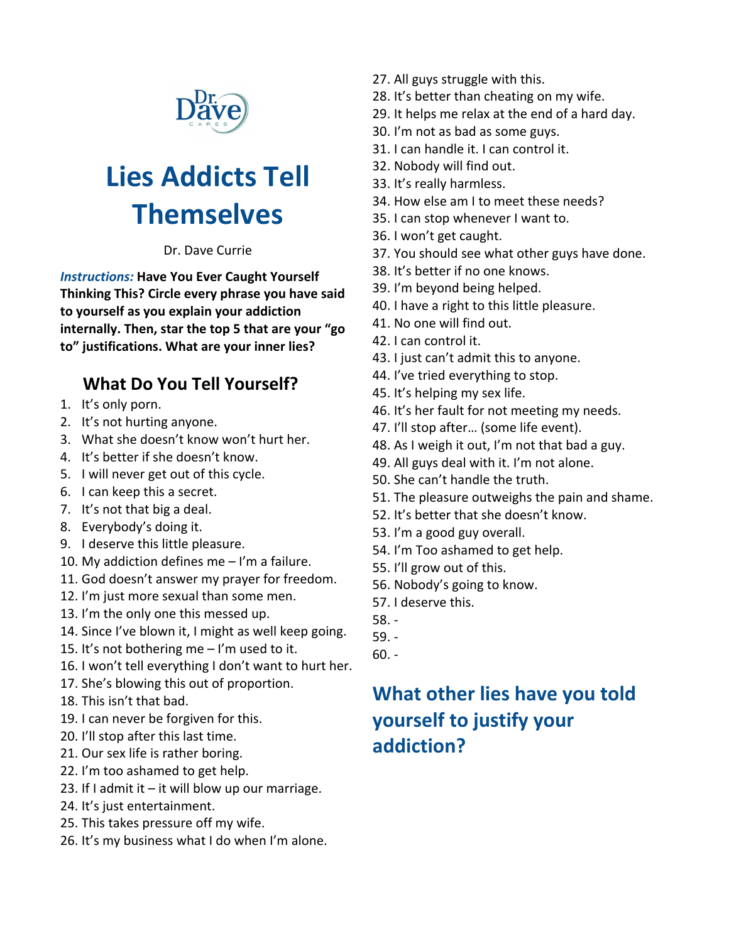

# **Lies Addicts Tell Themselves**

Dr. Dave Currie

*Instructions:* **Have You Ever Caught Yourself Thinking This? Circle every phrase you have said to yourself as you explain your addiction internally. Then, star the top 5 that are your "go to" justifications. What are your inner lies?**

## **What Do You Tell Yourself?**

- 1. It's only porn.
- 2. It's not hurting anyone.
- 3. What she doesn't know won't hurt her.
- 4. It's better if she doesn't know.
- 5. I will never get out of this cycle.
- 6. I can keep this a secret.
- 7. It's not that big a deal.
- 8. Everybody's doing it.
- 9. I deserve this little pleasure.
- 10. My addiction defines me I'm a failure.
- 11. God doesn't answer my prayer for freedom.
- 12. I'm just more sexual than some men.
- 13. I'm the only one this messed up.
- 14. Since I've blown it, I might as well keep going.
- 15. It's not bothering me I'm used to it.
- 16. I won't tell everything I don't want to hurt her.
- 17. She's blowing this out of proportion.
- 18. This isn't that bad.
- 19. I can never be forgiven for this.
- 20. I'll stop after this last time.
- 21. Our sex life is rather boring.
- 22. I'm too ashamed to get help.
- 23. If I admit it  $-$  it will blow up our marriage.
- 24. It's just entertainment.
- 25. This takes pressure off my wife.
- 26. It's my business what I do when I'm alone.
- 27. All guys struggle with this.
- 28. It's better than cheating on my wife.
- 29. It helps me relax at the end of a hard day.
- 30. I'm not as bad as some guys.
- 31. I can handle it. I can control it.
- 32. Nobody will find out.
- 33. It's really harmless.
- 34. How else am I to meet these needs?
- 35. I can stop whenever I want to.
- 36. I won't get caught.
- 37. You should see what other guys have done.
- 38. It's better if no one knows.
- 39. I'm beyond being helped.
- 40. I have a right to this little pleasure.
- 41. No one will find out.
- 42. I can control it.
- 43. I just can't admit this to anyone.
- 44. I've tried everything to stop.
- 45. It's helping my sex life.
- 46. It's her fault for not meeting my needs.
- 47. I'll stop after… (some life event).
- 48. As I weigh it out, I'm not that bad a guy.
- 49. All guys deal with it. I'm not alone.
- 50. She can't handle the truth.
- 51. The pleasure outweighs the pain and shame.
- 52. It's better that she doesn't know.
- 53. I'm a good guy overall.
- 54. I'm Too ashamed to get help.
- 55. I'll grow out of this.
- 56. Nobody's going to know.
- 57. I deserve this.
- 58. -
- 59. -
- 60. -

## **What other lies have you told yourself to justify your addiction?**